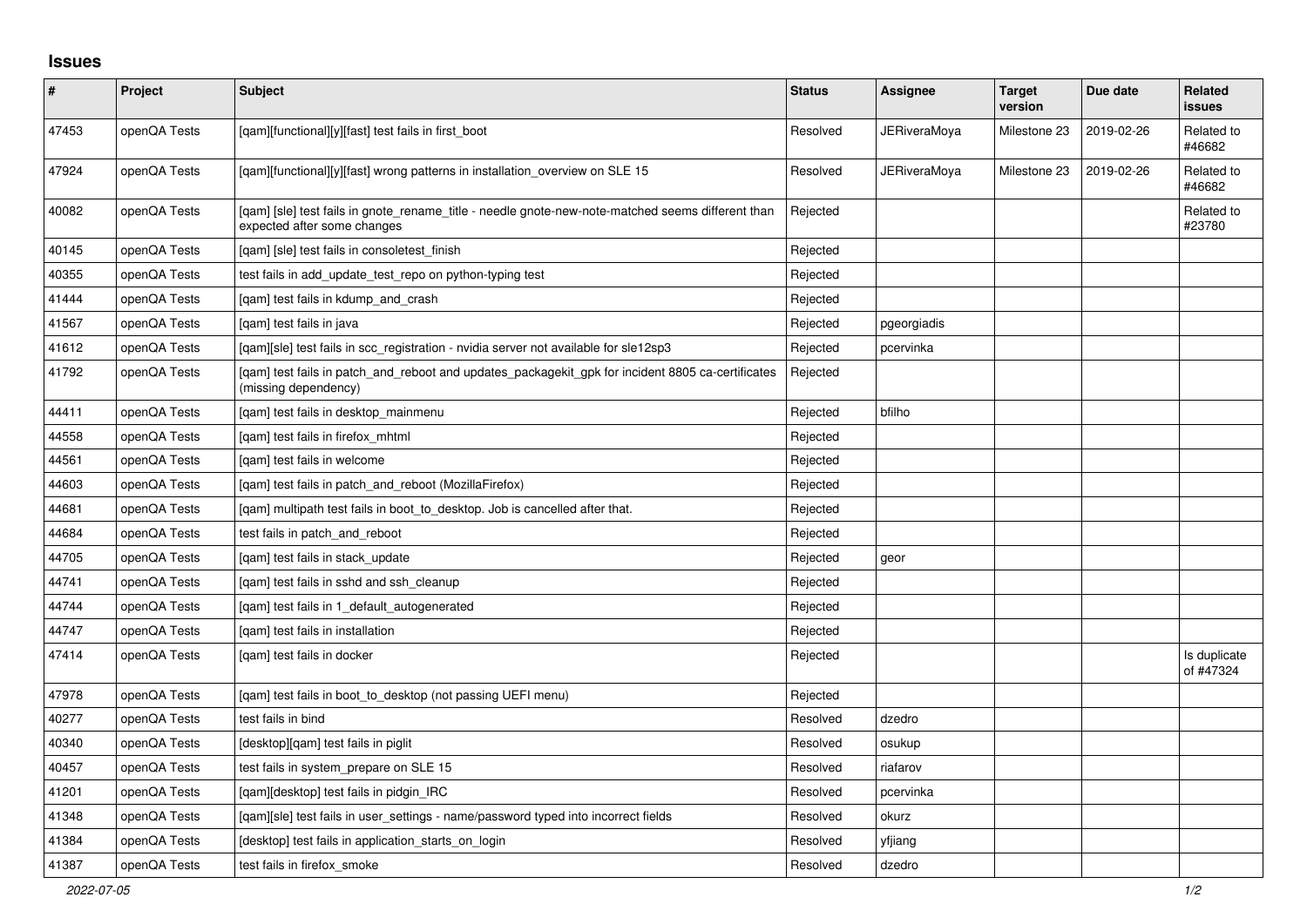## **Issues**

| $\pmb{\#}$ | Project      | <b>Subject</b>                                                                                                                   | <b>Status</b> | Assignee            | <b>Target</b><br>version | Due date   | Related<br><b>issues</b>  |
|------------|--------------|----------------------------------------------------------------------------------------------------------------------------------|---------------|---------------------|--------------------------|------------|---------------------------|
| 47453      | openQA Tests | [qam][functional][y][fast] test fails in first_boot                                                                              | Resolved      | <b>JERiveraMoya</b> | Milestone 23             | 2019-02-26 | Related to<br>#46682      |
| 47924      | openQA Tests | [gam][functional][y][fast] wrong patterns in installation overview on SLE 15                                                     | Resolved      | JERiveraMoya        | Milestone 23             | 2019-02-26 | Related to<br>#46682      |
| 40082      | openQA Tests | [qam] [sle] test fails in gnote_rename_title - needle gnote-new-note-matched seems different than<br>expected after some changes | Rejected      |                     |                          |            | Related to<br>#23780      |
| 40145      | openQA Tests | [gam] [sle] test fails in consoletest finish                                                                                     | Rejected      |                     |                          |            |                           |
| 40355      | openQA Tests | test fails in add update test repo on python-typing test                                                                         | Rejected      |                     |                          |            |                           |
| 41444      | openQA Tests | [qam] test fails in kdump_and_crash                                                                                              | Rejected      |                     |                          |            |                           |
| 41567      | openQA Tests | [qam] test fails in java                                                                                                         | Rejected      | pgeorgiadis         |                          |            |                           |
| 41612      | openQA Tests | [gam][sle] test fails in scc registration - nvidia server not available for sle12sp3                                             | Rejected      | pcervinka           |                          |            |                           |
| 41792      | openQA Tests | [qam] test fails in patch_and_reboot and updates_packagekit_gpk for incident 8805 ca-certificates<br>(missing dependency)        | Rejected      |                     |                          |            |                           |
| 44411      | openQA Tests | [qam] test fails in desktop_mainmenu                                                                                             | Rejected      | bfilho              |                          |            |                           |
| 44558      | openQA Tests | [gam] test fails in firefox mhtml                                                                                                | Rejected      |                     |                          |            |                           |
| 44561      | openQA Tests | [gam] test fails in welcome                                                                                                      | Rejected      |                     |                          |            |                           |
| 44603      | openQA Tests | [gam] test fails in patch and reboot (MozillaFirefox)                                                                            | Rejected      |                     |                          |            |                           |
| 44681      | openQA Tests | [qam] multipath test fails in boot_to_desktop. Job is cancelled after that.                                                      | Rejected      |                     |                          |            |                           |
| 44684      | openQA Tests | test fails in patch and reboot                                                                                                   | Rejected      |                     |                          |            |                           |
| 44705      | openQA Tests | [qam] test fails in stack_update                                                                                                 | Rejected      | geor                |                          |            |                           |
| 44741      | openQA Tests | [gam] test fails in sshd and ssh cleanup                                                                                         | Rejected      |                     |                          |            |                           |
| 44744      | openQA Tests | [gam] test fails in 1 default autogenerated                                                                                      | Rejected      |                     |                          |            |                           |
| 44747      | openQA Tests | [qam] test fails in installation                                                                                                 | Rejected      |                     |                          |            |                           |
| 47414      | openQA Tests | [gam] test fails in docker                                                                                                       | Rejected      |                     |                          |            | Is duplicate<br>of #47324 |
| 47978      | openQA Tests | [gam] test fails in boot to desktop (not passing UEFI menu)                                                                      | Rejected      |                     |                          |            |                           |
| 40277      | openQA Tests | test fails in bind                                                                                                               | Resolved      | dzedro              |                          |            |                           |
| 40340      | openQA Tests | [desktop][qam] test fails in piglit                                                                                              | Resolved      | osukup              |                          |            |                           |
| 40457      | openQA Tests | test fails in system prepare on SLE 15                                                                                           | Resolved      | riafarov            |                          |            |                           |
| 41201      | openQA Tests | [gam][desktop] test fails in pidgin IRC                                                                                          | Resolved      | pcervinka           |                          |            |                           |
| 41348      | openQA Tests | [gam][sle] test fails in user settings - name/password typed into incorrect fields                                               | Resolved      | okurz               |                          |            |                           |
| 41384      | openQA Tests | [desktop] test fails in application_starts_on_login                                                                              | Resolved      | yfjiang             |                          |            |                           |
| 41387      | openQA Tests | test fails in firefox smoke                                                                                                      | Resolved      | dzedro              |                          |            |                           |